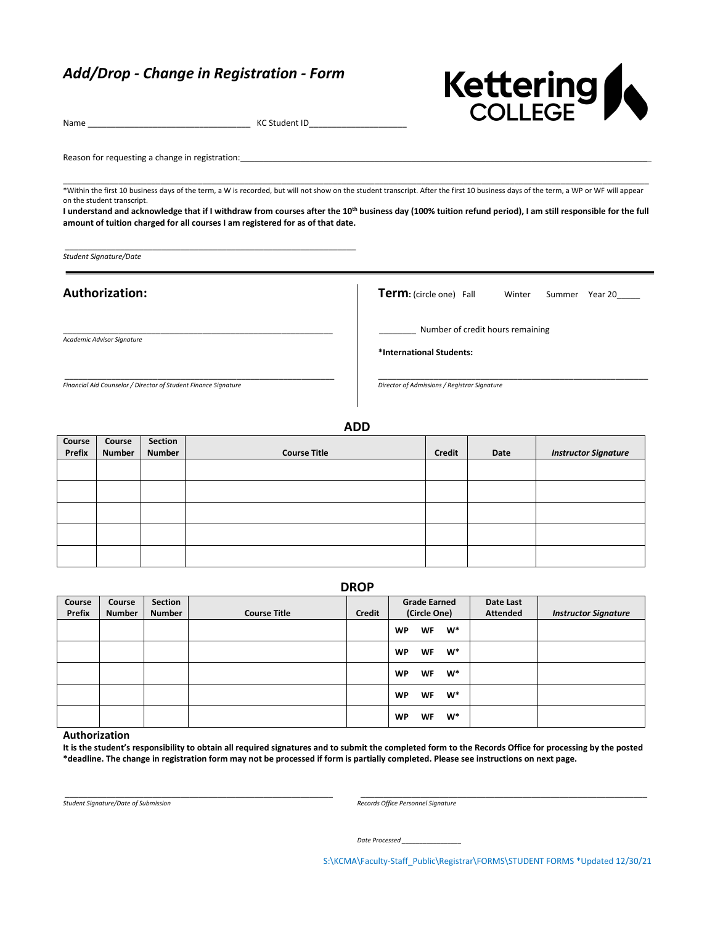# *Add/Drop - Change in Registration - Form*

\_\_\_\_\_\_\_\_\_\_\_\_\_\_\_\_\_\_\_\_\_\_\_\_\_\_\_\_\_\_\_\_\_\_\_\_\_\_\_\_\_\_\_\_\_\_\_\_\_\_\_\_\_\_\_\_\_\_\_\_\_\_\_

\_\_\_\_\_\_\_\_\_\_\_\_\_\_\_\_\_\_\_\_\_\_\_\_\_\_\_\_\_\_\_\_\_\_\_\_\_\_\_\_\_\_\_\_\_\_\_\_\_\_\_\_\_\_\_\_\_\_

\_\_\_\_\_\_\_\_\_\_\_\_\_\_\_\_\_\_\_\_\_\_\_\_\_\_\_\_\_\_\_\_\_\_\_\_\_\_\_\_\_\_\_\_\_\_\_\_\_\_\_\_\_\_\_\_\_\_



Name \_\_\_\_\_\_\_\_\_\_\_\_\_\_\_\_\_\_\_\_\_\_\_\_\_\_\_\_\_\_\_\_\_\_\_ KC Student ID\_\_\_\_\_\_\_\_\_\_\_\_\_\_\_\_\_\_\_\_\_

Reason for requesting a change in registration:

\_\_\_\_\_\_\_\_\_\_\_\_\_\_\_\_\_\_\_\_\_\_\_\_\_\_\_\_\_\_\_\_\_\_\_\_\_\_\_\_\_\_\_\_\_\_\_\_\_\_\_\_\_\_\_\_\_\_\_\_\_\_\_\_\_\_\_\_\_\_\_\_\_\_\_\_\_\_\_\_\_\_\_\_\_\_\_\_\_\_\_\_\_\_\_\_\_\_\_\_\_\_\_\_\_\_\_\_\_\_\_\_\_\_\_\_\_\_\_\_\_\_\_\_\_\_ \*Within the first 10 business days of the term, a W is recorded, but will not show on the student transcript. After the first 10 business days of the term, a WP or WF will appear on the student transcript.

I understand and acknowledge that if I withdraw from courses after the 10<sup>th</sup> business day (100% tuition refund period), I am still responsible for the full **amount of tuition charged for all courses I am registered for as of that date.**

*Student Signature/Date*

## **Authorization:**

*Academic Advisor Signature*

Term: (circle one) Fall Winter Summer Year 20\_\_\_\_

\_\_\_\_\_\_\_\_ Number of credit hours remaining

\_\_\_\_\_\_\_\_\_\_\_\_\_\_\_\_\_\_\_\_\_\_\_\_\_\_\_\_\_\_\_\_\_\_\_\_\_\_\_\_\_\_\_\_\_\_\_\_\_\_\_\_\_\_\_\_\_\_

**\*International Students:**

*Director of Admissions / Registrar Signature*

*Financial Aid Counselor / Director of Student Finance Signature*

**ADD**

| Course | Course        | Section       |                     |        |      |                             |
|--------|---------------|---------------|---------------------|--------|------|-----------------------------|
| Prefix | <b>Number</b> | <b>Number</b> | <b>Course Title</b> | Credit | Date | <b>Instructor Signature</b> |
|        |               |               |                     |        |      |                             |
|        |               |               |                     |        |      |                             |
|        |               |               |                     |        |      |                             |
|        |               |               |                     |        |      |                             |
|        |               |               |                     |        |      |                             |

**DROP**

| Course        | Course        | <b>Section</b> |                     |        | <b>Grade Earned</b>             | Date Last       |                             |
|---------------|---------------|----------------|---------------------|--------|---------------------------------|-----------------|-----------------------------|
| <b>Prefix</b> | <b>Number</b> | <b>Number</b>  | <b>Course Title</b> | Credit | (Circle One)                    | <b>Attended</b> | <b>Instructor Signature</b> |
|               |               |                |                     |        | $W^*$<br>WF<br><b>WP</b>        |                 |                             |
|               |               |                |                     |        | $W^*$<br><b>WF</b><br><b>WP</b> |                 |                             |
|               |               |                |                     |        | $W^*$<br>WF<br><b>WP</b>        |                 |                             |
|               |               |                |                     |        | $W^*$<br>WF<br><b>WP</b>        |                 |                             |
|               |               |                |                     |        | $W^*$<br>WF<br><b>WP</b>        |                 |                             |

#### **Authorization**

**It is the student's responsibility to obtain all required signatures and to submit the completed form to the Records Office for processing by the posted \*deadline. The change in registration form may not be processed if form is partially completed. Please see instructions on next page.**

\_\_\_\_\_\_\_\_\_\_\_\_\_\_\_\_\_\_\_\_\_\_\_\_\_\_\_\_\_\_\_\_\_\_\_\_\_\_\_\_\_\_\_\_\_\_\_\_\_\_\_\_\_\_\_\_\_\_ \_\_\_\_\_\_\_\_\_\_\_\_\_\_\_\_\_\_\_\_\_\_\_\_\_\_\_\_\_\_\_\_\_\_\_\_\_\_\_\_\_\_\_\_\_\_\_\_\_\_\_\_\_\_\_\_\_\_\_\_\_\_

*Student Signature/Date of Submission Records Office Personnel Signature*

*Date Processed \_\_\_\_\_\_\_\_\_\_\_\_\_\_\_\_\_*

S:\KCMA\Faculty-Staff\_Public\Registrar\FORMS\STUDENT FORMS \*Updated 12/30/21